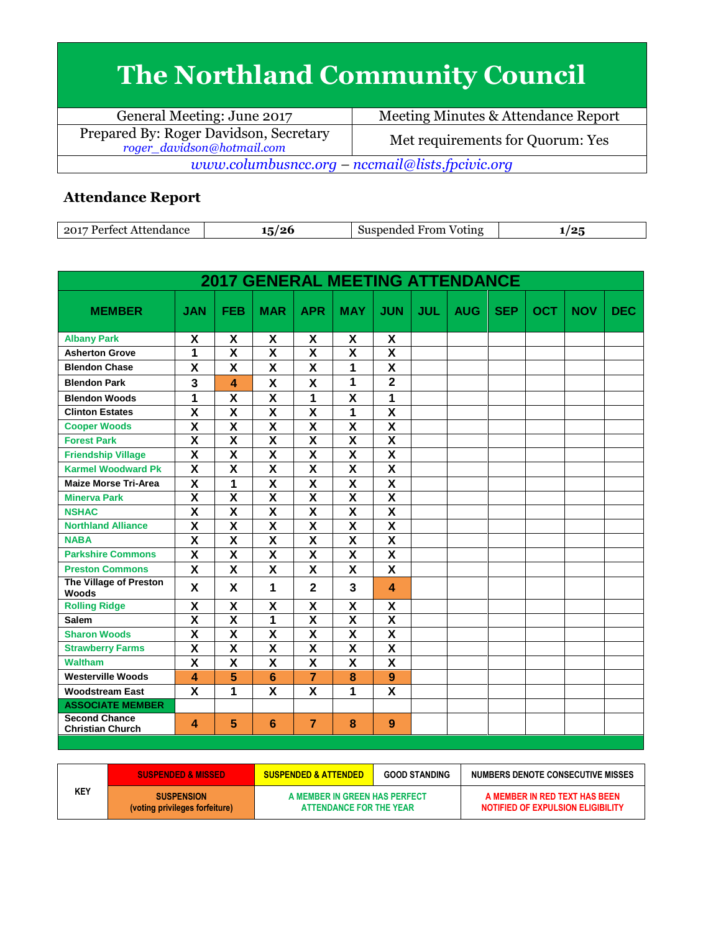## **The Northland Community Council**

| General Meeting: June 2017                                           | Meeting Minutes & Attendance Report |  |  |  |  |  |
|----------------------------------------------------------------------|-------------------------------------|--|--|--|--|--|
| Prepared By: Roger Davidson, Secretary<br>roger_davidson@hotmail.com | Met requirements for Quorum: Yes    |  |  |  |  |  |
| www.columbusncc.org – nccmail@lists.fpcivic.org                      |                                     |  |  |  |  |  |

## **Attendance Report**

| 2017<br>Partact<br>Attendance | ് .<br>$-1$<br>-ພ. | From<br>spended<br>Voting<br>511S | י הי<br>. . |
|-------------------------------|--------------------|-----------------------------------|-------------|

| <b>2017 GENERAL MEETING ATTENDANCE</b>          |                         |                         |                         |                         |                           |                           |            |            |            |            |            |            |
|-------------------------------------------------|-------------------------|-------------------------|-------------------------|-------------------------|---------------------------|---------------------------|------------|------------|------------|------------|------------|------------|
| <b>MEMBER</b>                                   | <b>JAN</b>              | <b>FEB</b>              | <b>MAR</b>              | <b>APR</b>              | <b>MAY</b>                | <b>JUN</b>                | <b>JUL</b> | <b>AUG</b> | <b>SEP</b> | <b>OCT</b> | <b>NOV</b> | <b>DEC</b> |
| <b>Albany Park</b>                              | X                       | X                       | X                       | X                       | X                         | X                         |            |            |            |            |            |            |
| <b>Asherton Grove</b>                           | 1                       | $\overline{\mathsf{x}}$ | $\overline{\mathsf{x}}$ | $\overline{\mathsf{x}}$ | $\overline{\mathbf{x}}$   | $\overline{\mathsf{x}}$   |            |            |            |            |            |            |
| <b>Blendon Chase</b>                            | X                       | X                       | X                       | X                       | 1                         | $\boldsymbol{\mathsf{X}}$ |            |            |            |            |            |            |
| <b>Blendon Park</b>                             | 3                       | 4                       | X                       | X                       | $\overline{1}$            | $\overline{2}$            |            |            |            |            |            |            |
| <b>Blendon Woods</b>                            | 1                       | $\overline{\mathbf{X}}$ | $\overline{\mathsf{x}}$ | 1                       | $\overline{\mathbf{x}}$   | 1                         |            |            |            |            |            |            |
| <b>Clinton Estates</b>                          | $\overline{\mathbf{x}}$ | $\overline{\mathsf{x}}$ | $\overline{\mathsf{x}}$ | $\overline{\mathsf{x}}$ | 1                         | $\overline{\mathsf{x}}$   |            |            |            |            |            |            |
| <b>Cooper Woods</b>                             | $\overline{\mathsf{x}}$ | $\overline{\mathsf{x}}$ | $\overline{\mathsf{x}}$ | $\overline{\mathsf{x}}$ | $\overline{\mathbf{x}}$   | $\overline{\mathbf{X}}$   |            |            |            |            |            |            |
| <b>Forest Park</b>                              | X                       | X                       | X                       | X                       | X                         | $\overline{\mathbf{x}}$   |            |            |            |            |            |            |
| <b>Friendship Village</b>                       | X                       | $\overline{\mathbf{x}}$ | $\overline{\mathsf{x}}$ | $\overline{\mathsf{x}}$ | $\overline{\mathbf{x}}$   | $\overline{\mathbf{x}}$   |            |            |            |            |            |            |
| <b>Karmel Woodward Pk</b>                       | $\overline{\mathbf{x}}$ | X                       | X                       | $\overline{\mathsf{x}}$ | $\mathsf{x}$              | $\overline{\mathbf{X}}$   |            |            |            |            |            |            |
| <b>Maize Morse Tri-Area</b>                     | $\overline{\mathsf{x}}$ | $\overline{1}$          | $\overline{\mathsf{x}}$ | $\overline{\mathsf{x}}$ | $\overline{\mathsf{x}}$   | $\overline{\mathsf{x}}$   |            |            |            |            |            |            |
| <b>Minerva Park</b>                             | $\overline{\mathsf{x}}$ | $\overline{\mathbf{X}}$ | $\overline{\mathbf{X}}$ | $\overline{\textbf{X}}$ | $\overline{\mathbf{x}}$   | $\overline{\mathbf{X}}$   |            |            |            |            |            |            |
| <b>NSHAC</b>                                    | $\overline{\mathsf{x}}$ | $\overline{\mathbf{X}}$ | $\overline{\mathsf{x}}$ | $\overline{\mathsf{x}}$ | $\overline{\mathbf{x}}$   | $\overline{\mathbf{x}}$   |            |            |            |            |            |            |
| <b>Northland Alliance</b>                       | $\overline{\mathsf{x}}$ | $\overline{\mathsf{x}}$ | $\overline{\textsf{x}}$ | $\overline{\mathsf{x}}$ | $\overline{\mathbf{x}}$   | $\overline{\mathbf{X}}$   |            |            |            |            |            |            |
| <b>NABA</b>                                     | $\overline{\mathsf{x}}$ | $\overline{\textsf{x}}$ | $\overline{\textsf{x}}$ | $\overline{\mathsf{x}}$ | $\overline{\mathsf{x}}$   | $\overline{\mathbf{X}}$   |            |            |            |            |            |            |
| <b>Parkshire Commons</b>                        | X                       | X                       | X                       | X                       | X                         | $\boldsymbol{\mathsf{X}}$ |            |            |            |            |            |            |
| <b>Preston Commons</b>                          | X                       | X                       | X                       | X                       | $\boldsymbol{\mathsf{x}}$ | X                         |            |            |            |            |            |            |
| <b>The Village of Preston</b><br>Woods          | X                       | X                       | 1                       | $\overline{2}$          | 3                         | 4                         |            |            |            |            |            |            |
| <b>Rolling Ridge</b>                            | X                       | X                       | X                       | X                       | X                         | X                         |            |            |            |            |            |            |
| <b>Salem</b>                                    | $\overline{\mathsf{x}}$ | $\overline{\mathsf{x}}$ | 1                       | $\overline{\mathsf{x}}$ | $\overline{\mathbf{x}}$   | $\overline{\mathbf{x}}$   |            |            |            |            |            |            |
| <b>Sharon Woods</b>                             | $\overline{\textbf{x}}$ | $\overline{\mathsf{x}}$ | $\overline{\mathsf{x}}$ | $\overline{\mathsf{x}}$ | $\overline{\mathbf{x}}$   | $\overline{\mathsf{x}}$   |            |            |            |            |            |            |
| <b>Strawberry Farms</b>                         | $\overline{\mathbf{X}}$ | $\overline{\mathsf{x}}$ | $\overline{\mathsf{x}}$ | $\overline{\mathsf{x}}$ | $\overline{\mathbf{x}}$   | $\overline{\mathbf{X}}$   |            |            |            |            |            |            |
| <b>Waltham</b>                                  | $\overline{\mathsf{x}}$ | $\overline{\mathbf{x}}$ | $\overline{\mathsf{x}}$ | $\overline{\mathsf{x}}$ | $\overline{\mathbf{x}}$   | $\overline{\mathbf{X}}$   |            |            |            |            |            |            |
| <b>Westerville Woods</b>                        | $\overline{\mathbf{A}}$ | 5                       | 6                       | $\overline{7}$          | 8                         | 9                         |            |            |            |            |            |            |
| <b>Woodstream East</b>                          | X                       | 1                       | $\overline{\mathbf{x}}$ | $\overline{\mathbf{x}}$ | 1                         | $\overline{\mathbf{x}}$   |            |            |            |            |            |            |
| <b>ASSOCIATE MEMBER</b>                         |                         |                         |                         |                         |                           |                           |            |            |            |            |            |            |
| <b>Second Chance</b><br><b>Christian Church</b> | 4                       | 5                       | $6\phantom{1}6$         | $\overline{7}$          | 8                         | 9                         |            |            |            |            |            |            |

|     | <b>SUSPENDED &amp; MISSED</b>                       | <b>SUSPENDED &amp; ATTENDED</b>                          | <b>GOOD STANDING</b> | NUMBERS DENOTE CONSECUTIVE MISSES                                         |
|-----|-----------------------------------------------------|----------------------------------------------------------|----------------------|---------------------------------------------------------------------------|
| KEY | <b>SUSPENSION</b><br>(voting privileges forfeiture) | A MEMBER IN GREEN HAS PERFECT<br>ATTENDANCE FOR THE YEAR |                      | A MEMBER IN RED TEXT HAS BEEN<br><b>NOTIFIED OF EXPULSION ELIGIBILITY</b> |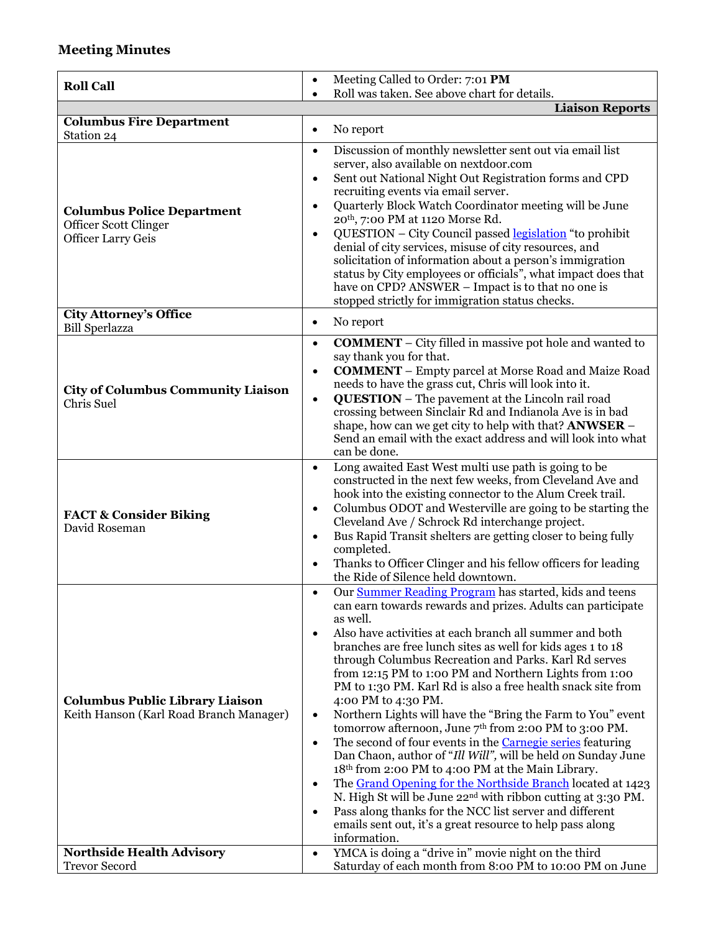## **Meeting Minutes**

| <b>Roll Call</b>                                                                        | Meeting Called to Order: 7:01 PM<br>$\bullet$                                                                                                                                                                                                                                                                                                                                                                                                                                                                                                                                                                                                                                                                                                                                                                                                                                                                                                                                                                                                                                                                                                         |
|-----------------------------------------------------------------------------------------|-------------------------------------------------------------------------------------------------------------------------------------------------------------------------------------------------------------------------------------------------------------------------------------------------------------------------------------------------------------------------------------------------------------------------------------------------------------------------------------------------------------------------------------------------------------------------------------------------------------------------------------------------------------------------------------------------------------------------------------------------------------------------------------------------------------------------------------------------------------------------------------------------------------------------------------------------------------------------------------------------------------------------------------------------------------------------------------------------------------------------------------------------------|
|                                                                                         | Roll was taken. See above chart for details.<br>$\bullet$<br><b>Liaison Reports</b>                                                                                                                                                                                                                                                                                                                                                                                                                                                                                                                                                                                                                                                                                                                                                                                                                                                                                                                                                                                                                                                                   |
| <b>Columbus Fire Department</b>                                                         |                                                                                                                                                                                                                                                                                                                                                                                                                                                                                                                                                                                                                                                                                                                                                                                                                                                                                                                                                                                                                                                                                                                                                       |
| Station 24                                                                              | No report<br>٠                                                                                                                                                                                                                                                                                                                                                                                                                                                                                                                                                                                                                                                                                                                                                                                                                                                                                                                                                                                                                                                                                                                                        |
| <b>Columbus Police Department</b><br>Officer Scott Clinger<br><b>Officer Larry Geis</b> | Discussion of monthly newsletter sent out via email list<br>$\bullet$<br>server, also available on nextdoor.com<br>Sent out National Night Out Registration forms and CPD<br>$\bullet$<br>recruiting events via email server.<br>Quarterly Block Watch Coordinator meeting will be June<br>$\bullet$<br>20 <sup>th</sup> , 7:00 PM at 1120 Morse Rd.<br>QUESTION - City Council passed legislation "to prohibit<br>$\bullet$<br>denial of city services, misuse of city resources, and<br>solicitation of information about a person's immigration<br>status by City employees or officials", what impact does that<br>have on CPD? ANSWER - Impact is to that no one is<br>stopped strictly for immigration status checks.                                                                                                                                                                                                                                                                                                                                                                                                                           |
| <b>City Attorney's Office</b><br><b>Bill Sperlazza</b>                                  | No report<br>$\bullet$                                                                                                                                                                                                                                                                                                                                                                                                                                                                                                                                                                                                                                                                                                                                                                                                                                                                                                                                                                                                                                                                                                                                |
| <b>City of Columbus Community Liaison</b><br><b>Chris Suel</b>                          | <b>COMMENT</b> – City filled in massive pot hole and wanted to<br>$\bullet$<br>say thank you for that.<br><b>COMMENT</b> - Empty parcel at Morse Road and Maize Road<br>$\bullet$<br>needs to have the grass cut, Chris will look into it.<br><b>QUESTION</b> – The pavement at the Lincoln rail road<br>$\bullet$<br>crossing between Sinclair Rd and Indianola Ave is in bad<br>shape, how can we get city to help with that? <b>ANWSER</b> –<br>Send an email with the exact address and will look into what<br>can be done.                                                                                                                                                                                                                                                                                                                                                                                                                                                                                                                                                                                                                       |
| <b>FACT &amp; Consider Biking</b><br>David Roseman                                      | Long awaited East West multi use path is going to be<br>$\bullet$<br>constructed in the next few weeks, from Cleveland Ave and<br>hook into the existing connector to the Alum Creek trail.<br>Columbus ODOT and Westerville are going to be starting the<br>$\bullet$<br>Cleveland Ave / Schrock Rd interchange project.<br>Bus Rapid Transit shelters are getting closer to being fully<br>$\bullet$<br>completed.<br>Thanks to Officer Clinger and his fellow officers for leading<br>the Ride of Silence held downtown.                                                                                                                                                                                                                                                                                                                                                                                                                                                                                                                                                                                                                           |
| <b>Columbus Public Library Liaison</b><br>Keith Hanson (Karl Road Branch Manager)       | Our <b>Summer Reading Program</b> has started, kids and teens<br>$\bullet$<br>can earn towards rewards and prizes. Adults can participate<br>as well.<br>Also have activities at each branch all summer and both<br>٠<br>branches are free lunch sites as well for kids ages 1 to 18<br>through Columbus Recreation and Parks. Karl Rd serves<br>from 12:15 PM to 1:00 PM and Northern Lights from 1:00<br>PM to 1:30 PM. Karl Rd is also a free health snack site from<br>4:00 PM to 4:30 PM.<br>Northern Lights will have the "Bring the Farm to You" event<br>$\bullet$<br>tomorrow afternoon, June 7 <sup>th</sup> from 2:00 PM to 3:00 PM.<br>The second of four events in the <b>Carnegie series</b> featuring<br>$\bullet$<br>Dan Chaon, author of "Ill Will", will be held on Sunday June<br>18th from 2:00 PM to 4:00 PM at the Main Library.<br>The Grand Opening for the Northside Branch located at 1423<br>$\bullet$<br>N. High St will be June 22 <sup>nd</sup> with ribbon cutting at 3:30 PM.<br>Pass along thanks for the NCC list server and different<br>emails sent out, it's a great resource to help pass along<br>information. |
| <b>Northside Health Advisory</b>                                                        | YMCA is doing a "drive in" movie night on the third<br>$\bullet$                                                                                                                                                                                                                                                                                                                                                                                                                                                                                                                                                                                                                                                                                                                                                                                                                                                                                                                                                                                                                                                                                      |
| <b>Trevor Secord</b>                                                                    | Saturday of each month from 8:00 PM to 10:00 PM on June                                                                                                                                                                                                                                                                                                                                                                                                                                                                                                                                                                                                                                                                                                                                                                                                                                                                                                                                                                                                                                                                                               |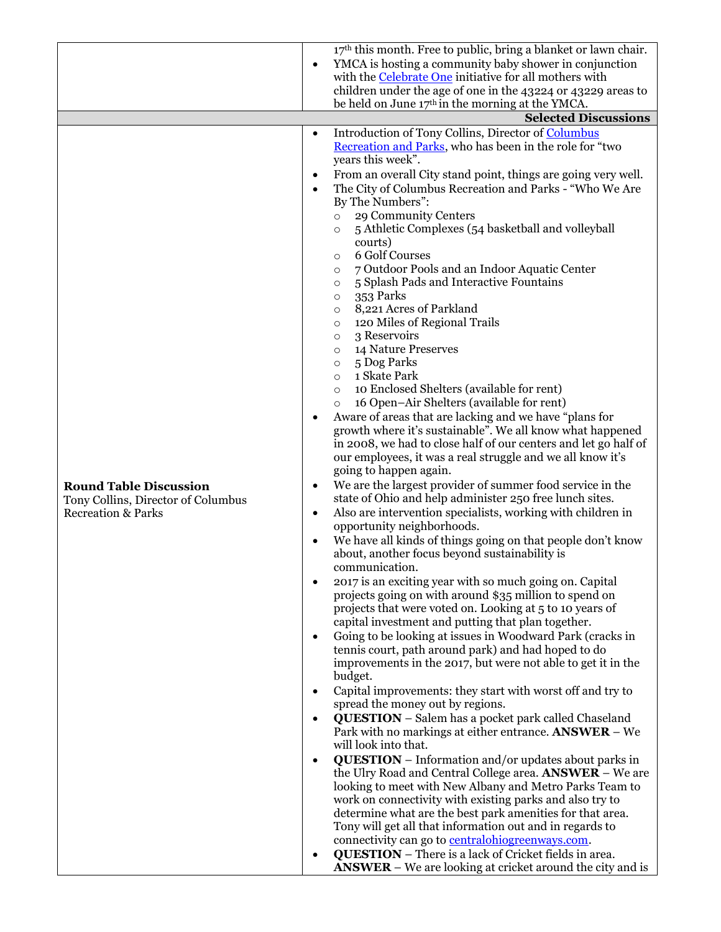|                                    |                    | 17th this month. Free to public, bring a blanket or lawn chair.                                                          |
|------------------------------------|--------------------|--------------------------------------------------------------------------------------------------------------------------|
|                                    | $\bullet$          | YMCA is hosting a community baby shower in conjunction                                                                   |
|                                    |                    | with the <b>Celebrate One</b> initiative for all mothers with                                                            |
|                                    |                    | children under the age of one in the 43224 or 43229 areas to                                                             |
|                                    |                    | be held on June 17th in the morning at the YMCA.                                                                         |
|                                    |                    | <b>Selected Discussions</b>                                                                                              |
|                                    | $\bullet$          | Introduction of Tony Collins, Director of Columbus                                                                       |
|                                    |                    | Recreation and Parks, who has been in the role for "two                                                                  |
|                                    |                    | years this week".                                                                                                        |
|                                    | $\bullet$          | From an overall City stand point, things are going very well.                                                            |
|                                    |                    | The City of Columbus Recreation and Parks - "Who We Are                                                                  |
|                                    |                    | By The Numbers":                                                                                                         |
|                                    | $\circ$<br>$\circ$ | 29 Community Centers<br>5 Athletic Complexes (54 basketball and volleyball                                               |
|                                    |                    | courts)                                                                                                                  |
|                                    | $\circ$            | 6 Golf Courses                                                                                                           |
|                                    | $\circ$            | 7 Outdoor Pools and an Indoor Aquatic Center                                                                             |
|                                    | $\circ$            | 5 Splash Pads and Interactive Fountains                                                                                  |
|                                    | $\circ$            | 353 Parks                                                                                                                |
|                                    | $\circ$            | 8,221 Acres of Parkland                                                                                                  |
|                                    | $\circ$            | 120 Miles of Regional Trails                                                                                             |
|                                    | $\circ$            | 3 Reservoirs                                                                                                             |
|                                    | $\circ$            | 14 Nature Preserves                                                                                                      |
|                                    | $\circ$<br>$\circ$ | 5 Dog Parks<br>1 Skate Park                                                                                              |
|                                    | $\circ$            | 10 Enclosed Shelters (available for rent)                                                                                |
|                                    | $\circ$            | 16 Open-Air Shelters (available for rent)                                                                                |
|                                    | $\bullet$          | Aware of areas that are lacking and we have "plans for                                                                   |
|                                    |                    | growth where it's sustainable". We all know what happened                                                                |
|                                    |                    | in 2008, we had to close half of our centers and let go half of                                                          |
|                                    |                    | our employees, it was a real struggle and we all know it's                                                               |
|                                    |                    | going to happen again.                                                                                                   |
| <b>Round Table Discussion</b>      | $\bullet$          | We are the largest provider of summer food service in the                                                                |
| Tony Collins, Director of Columbus |                    | state of Ohio and help administer 250 free lunch sites.                                                                  |
| <b>Recreation &amp; Parks</b>      | $\bullet$          | Also are intervention specialists, working with children in<br>opportunity neighborhoods.                                |
|                                    | $\bullet$          | We have all kinds of things going on that people don't know                                                              |
|                                    |                    | about, another focus beyond sustainability is                                                                            |
|                                    |                    | communication.                                                                                                           |
|                                    |                    | 2017 is an exciting year with so much going on. Capital                                                                  |
|                                    |                    | projects going on with around \$35 million to spend on                                                                   |
|                                    |                    | projects that were voted on. Looking at 5 to 10 years of                                                                 |
|                                    |                    | capital investment and putting that plan together.                                                                       |
|                                    | $\bullet$          | Going to be looking at issues in Woodward Park (cracks in                                                                |
|                                    |                    | tennis court, path around park) and had hoped to do                                                                      |
|                                    |                    | improvements in the 2017, but were not able to get it in the<br>budget.                                                  |
|                                    | ٠                  | Capital improvements: they start with worst off and try to                                                               |
|                                    |                    | spread the money out by regions.                                                                                         |
|                                    |                    | <b>QUESTION</b> - Salem has a pocket park called Chaseland                                                               |
|                                    |                    | Park with no markings at either entrance. ANSWER - We                                                                    |
|                                    |                    | will look into that.                                                                                                     |
|                                    | $\bullet$          | <b>QUESTION</b> – Information and/or updates about parks in                                                              |
|                                    |                    | the Ulry Road and Central College area. ANSWER - We are                                                                  |
|                                    |                    | looking to meet with New Albany and Metro Parks Team to                                                                  |
|                                    |                    | work on connectivity with existing parks and also try to                                                                 |
|                                    |                    | determine what are the best park amenities for that area.                                                                |
|                                    |                    | Tony will get all that information out and in regards to                                                                 |
|                                    |                    | connectivity can go to <b>centralohiogreenways.com</b> .<br><b>QUESTION</b> - There is a lack of Cricket fields in area. |
|                                    |                    | <b>ANSWER</b> – We are looking at cricket around the city and is                                                         |
|                                    |                    |                                                                                                                          |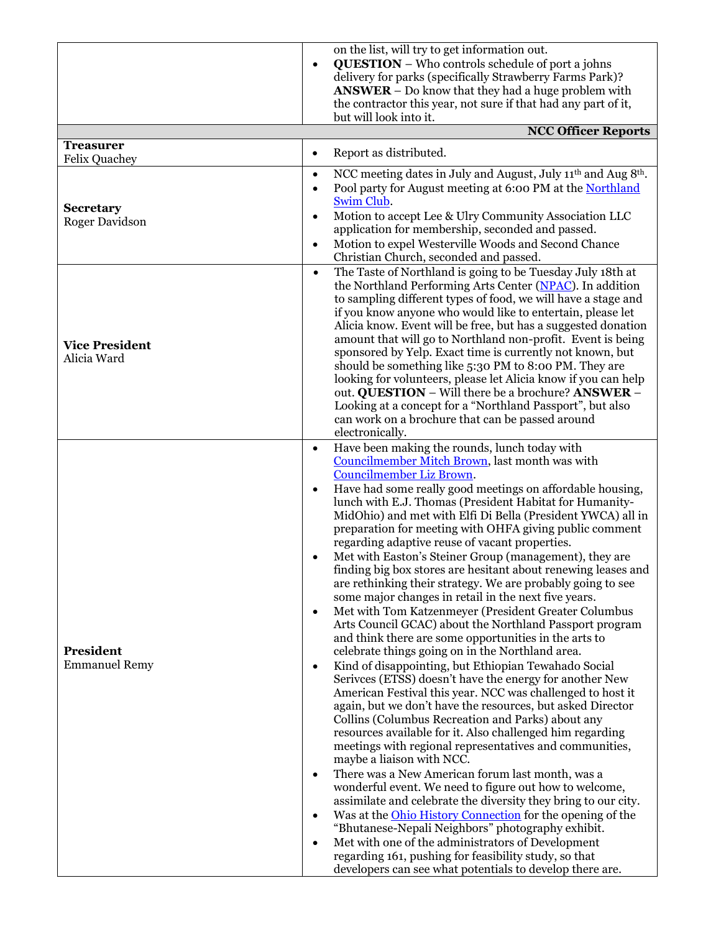|                       |           | on the list, will try to get information out.                                                                   |
|-----------------------|-----------|-----------------------------------------------------------------------------------------------------------------|
|                       |           | <b>QUESTION</b> – Who controls schedule of port a johns                                                         |
|                       |           | delivery for parks (specifically Strawberry Farms Park)?                                                        |
|                       |           | $ANSWER - Do$ know that they had a huge problem with                                                            |
|                       |           | the contractor this year, not sure if that had any part of it,                                                  |
|                       |           | but will look into it.                                                                                          |
|                       |           | <b>NCC Officer Reports</b>                                                                                      |
| <b>Treasurer</b>      |           | Report as distributed.                                                                                          |
| <b>Felix Quachey</b>  | $\bullet$ |                                                                                                                 |
|                       | $\bullet$ | NCC meeting dates in July and August, July 11 <sup>th</sup> and Aug 8 <sup>th</sup> .                           |
|                       | $\bullet$ | Pool party for August meeting at 6:00 PM at the Northland                                                       |
| <b>Secretary</b>      |           | Swim Club.                                                                                                      |
| <b>Roger Davidson</b> | $\bullet$ | Motion to accept Lee & Ulry Community Association LLC                                                           |
|                       |           | application for membership, seconded and passed.                                                                |
|                       | $\bullet$ | Motion to expel Westerville Woods and Second Chance                                                             |
|                       |           | Christian Church, seconded and passed.                                                                          |
|                       | $\bullet$ | The Taste of Northland is going to be Tuesday July 18th at                                                      |
|                       |           | the Northland Performing Arts Center (NPAC). In addition                                                        |
|                       |           | to sampling different types of food, we will have a stage and                                                   |
|                       |           | if you know anyone who would like to entertain, please let                                                      |
|                       |           | Alicia know. Event will be free, but has a suggested donation                                                   |
| <b>Vice President</b> |           | amount that will go to Northland non-profit. Event is being                                                     |
| Alicia Ward           |           | sponsored by Yelp. Exact time is currently not known, but                                                       |
|                       |           | should be something like 5:30 PM to 8:00 PM. They are                                                           |
|                       |           | looking for volunteers, please let Alicia know if you can help                                                  |
|                       |           | out. QUESTION - Will there be a brochure? ANSWER -                                                              |
|                       |           | Looking at a concept for a "Northland Passport", but also                                                       |
|                       |           | can work on a brochure that can be passed around                                                                |
|                       |           | electronically.                                                                                                 |
|                       | $\bullet$ | Have been making the rounds, lunch today with                                                                   |
|                       |           | Councilmember Mitch Brown, last month was with                                                                  |
|                       |           | <b>Councilmember Liz Brown.</b>                                                                                 |
|                       | $\bullet$ | Have had some really good meetings on affordable housing,                                                       |
|                       |           | lunch with E.J. Thomas (President Habitat for Humanity-                                                         |
|                       |           | MidOhio) and met with Elfi Di Bella (President YWCA) all in                                                     |
|                       |           | preparation for meeting with OHFA giving public comment                                                         |
|                       |           | regarding adaptive reuse of vacant properties.                                                                  |
|                       |           | Met with Easton's Steiner Group (management), they are                                                          |
|                       |           | finding big box stores are hesitant about renewing leases and                                                   |
|                       |           | are rethinking their strategy. We are probably going to see                                                     |
|                       |           | some major changes in retail in the next five years.                                                            |
|                       | $\bullet$ | Met with Tom Katzenmeyer (President Greater Columbus                                                            |
|                       |           | Arts Council GCAC) about the Northland Passport program                                                         |
| President             |           | and think there are some opportunities in the arts to<br>celebrate things going on in the Northland area.       |
| <b>Emmanuel Remy</b>  |           |                                                                                                                 |
|                       | $\bullet$ | Kind of disappointing, but Ethiopian Tewahado Social<br>Serivces (ETSS) doesn't have the energy for another New |
|                       |           | American Festival this year. NCC was challenged to host it                                                      |
|                       |           | again, but we don't have the resources, but asked Director                                                      |
|                       |           | Collins (Columbus Recreation and Parks) about any                                                               |
|                       |           | resources available for it. Also challenged him regarding                                                       |
|                       |           | meetings with regional representatives and communities,                                                         |
|                       |           | maybe a liaison with NCC.                                                                                       |
|                       | $\bullet$ | There was a New American forum last month, was a                                                                |
|                       |           | wonderful event. We need to figure out how to welcome,                                                          |
|                       |           | assimilate and celebrate the diversity they bring to our city.                                                  |
|                       | $\bullet$ | Was at the <b>Ohio History Connection</b> for the opening of the                                                |
|                       |           | "Bhutanese-Nepali Neighbors" photography exhibit.                                                               |
|                       | $\bullet$ | Met with one of the administrators of Development                                                               |
|                       |           | regarding 161, pushing for feasibility study, so that                                                           |
|                       |           | developers can see what potentials to develop there are.                                                        |
|                       |           |                                                                                                                 |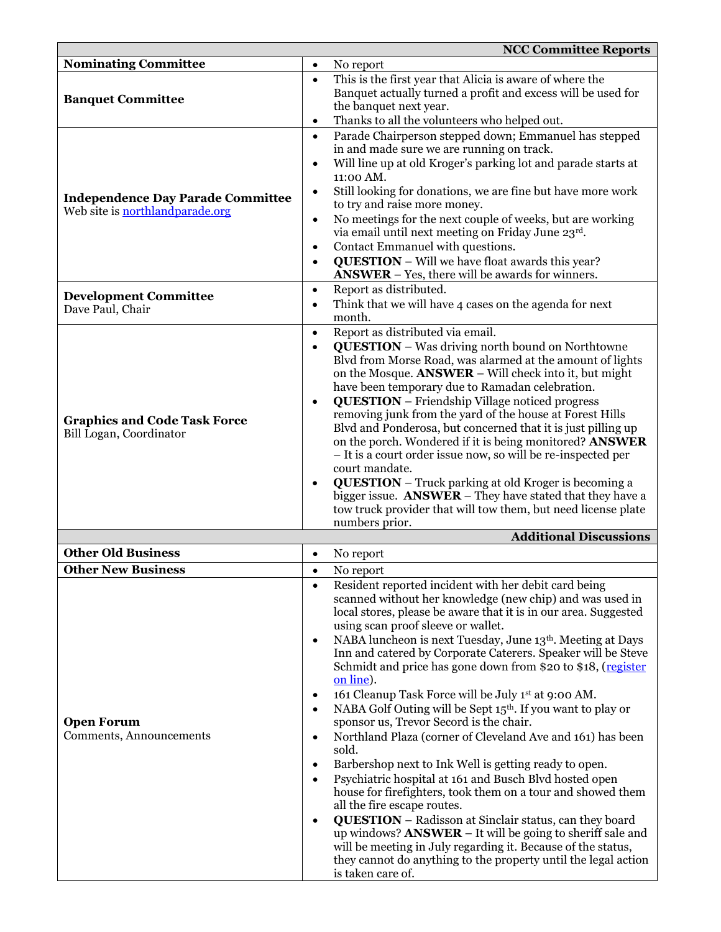|                                                                                    |           | <b>NCC Committee Reports</b>                                                                                              |
|------------------------------------------------------------------------------------|-----------|---------------------------------------------------------------------------------------------------------------------------|
| <b>Nominating Committee</b>                                                        | ٠         | No report                                                                                                                 |
|                                                                                    | $\bullet$ | This is the first year that Alicia is aware of where the                                                                  |
|                                                                                    |           | Banquet actually turned a profit and excess will be used for                                                              |
| <b>Banquet Committee</b>                                                           |           | the banquet next year.                                                                                                    |
|                                                                                    | $\bullet$ | Thanks to all the volunteers who helped out.                                                                              |
|                                                                                    | $\bullet$ | Parade Chairperson stepped down; Emmanuel has stepped                                                                     |
|                                                                                    |           | in and made sure we are running on track.                                                                                 |
|                                                                                    | $\bullet$ | Will line up at old Kroger's parking lot and parade starts at                                                             |
|                                                                                    |           | 11:00 AM.                                                                                                                 |
| <b>Independence Day Parade Committee</b><br>Web site is <b>northlandparade.org</b> | $\bullet$ | Still looking for donations, we are fine but have more work<br>to try and raise more money.                               |
|                                                                                    | $\bullet$ | No meetings for the next couple of weeks, but are working                                                                 |
|                                                                                    |           | via email until next meeting on Friday June 23rd.                                                                         |
|                                                                                    | ٠         | Contact Emmanuel with questions.                                                                                          |
|                                                                                    | $\bullet$ | <b>QUESTION</b> - Will we have float awards this year?<br><b>ANSWER</b> – Yes, there will be awards for winners.          |
|                                                                                    | $\bullet$ | Report as distributed.                                                                                                    |
| <b>Development Committee</b><br>Dave Paul, Chair                                   |           | Think that we will have 4 cases on the agenda for next                                                                    |
|                                                                                    |           | month.                                                                                                                    |
|                                                                                    | $\bullet$ | Report as distributed via email.                                                                                          |
|                                                                                    | $\bullet$ | <b>QUESTION</b> - Was driving north bound on Northtowne                                                                   |
|                                                                                    |           | Blvd from Morse Road, was alarmed at the amount of lights<br>on the Mosque. ANSWER - Will check into it, but might        |
|                                                                                    |           | have been temporary due to Ramadan celebration.                                                                           |
|                                                                                    | $\bullet$ | <b>QUESTION</b> – Friendship Village noticed progress                                                                     |
|                                                                                    |           | removing junk from the yard of the house at Forest Hills                                                                  |
| <b>Graphics and Code Task Force</b>                                                |           | Blvd and Ponderosa, but concerned that it is just pilling up                                                              |
| Bill Logan, Coordinator                                                            |           | on the porch. Wondered if it is being monitored? ANSWER                                                                   |
|                                                                                    |           | - It is a court order issue now, so will be re-inspected per                                                              |
|                                                                                    |           | court mandate.                                                                                                            |
|                                                                                    | ٠         | <b>QUESTION</b> - Truck parking at old Kroger is becoming a                                                               |
|                                                                                    |           | bigger issue. ANSWER - They have stated that they have a<br>tow truck provider that will tow them, but need license plate |
|                                                                                    |           | numbers prior.                                                                                                            |
|                                                                                    |           | <b>Additional Discussions</b>                                                                                             |
| <b>Other Old Business</b>                                                          | $\bullet$ | No report                                                                                                                 |
| <b>Other New Business</b>                                                          |           | No report                                                                                                                 |
|                                                                                    | $\bullet$ | Resident reported incident with her debit card being                                                                      |
|                                                                                    |           | scanned without her knowledge (new chip) and was used in                                                                  |
|                                                                                    |           | local stores, please be aware that it is in our area. Suggested                                                           |
|                                                                                    |           | using scan proof sleeve or wallet.                                                                                        |
|                                                                                    | $\bullet$ | NABA luncheon is next Tuesday, June 13th. Meeting at Days<br>Inn and catered by Corporate Caterers. Speaker will be Steve |
|                                                                                    |           | Schmidt and price has gone down from \$20 to \$18, (register                                                              |
|                                                                                    |           | on line).                                                                                                                 |
|                                                                                    | $\bullet$ | 161 Cleanup Task Force will be July 1st at 9:00 AM.                                                                       |
|                                                                                    | $\bullet$ | NABA Golf Outing will be Sept 15 <sup>th</sup> . If you want to play or                                                   |
| <b>Open Forum</b>                                                                  |           | sponsor us, Trevor Secord is the chair.                                                                                   |
| Comments, Announcements                                                            | $\bullet$ | Northland Plaza (corner of Cleveland Ave and 161) has been                                                                |
|                                                                                    |           | sold.                                                                                                                     |
|                                                                                    | $\bullet$ | Barbershop next to Ink Well is getting ready to open.                                                                     |
|                                                                                    | $\bullet$ | Psychiatric hospital at 161 and Busch Blvd hosted open<br>house for firefighters, took them on a tour and showed them     |
|                                                                                    |           | all the fire escape routes.                                                                                               |
|                                                                                    | $\bullet$ | <b>QUESTION</b> - Radisson at Sinclair status, can they board                                                             |
|                                                                                    |           | up windows? $ANSWER - It$ will be going to sheriff sale and                                                               |
|                                                                                    |           | will be meeting in July regarding it. Because of the status,                                                              |
|                                                                                    |           | they cannot do anything to the property until the legal action                                                            |
|                                                                                    |           | is taken care of.                                                                                                         |